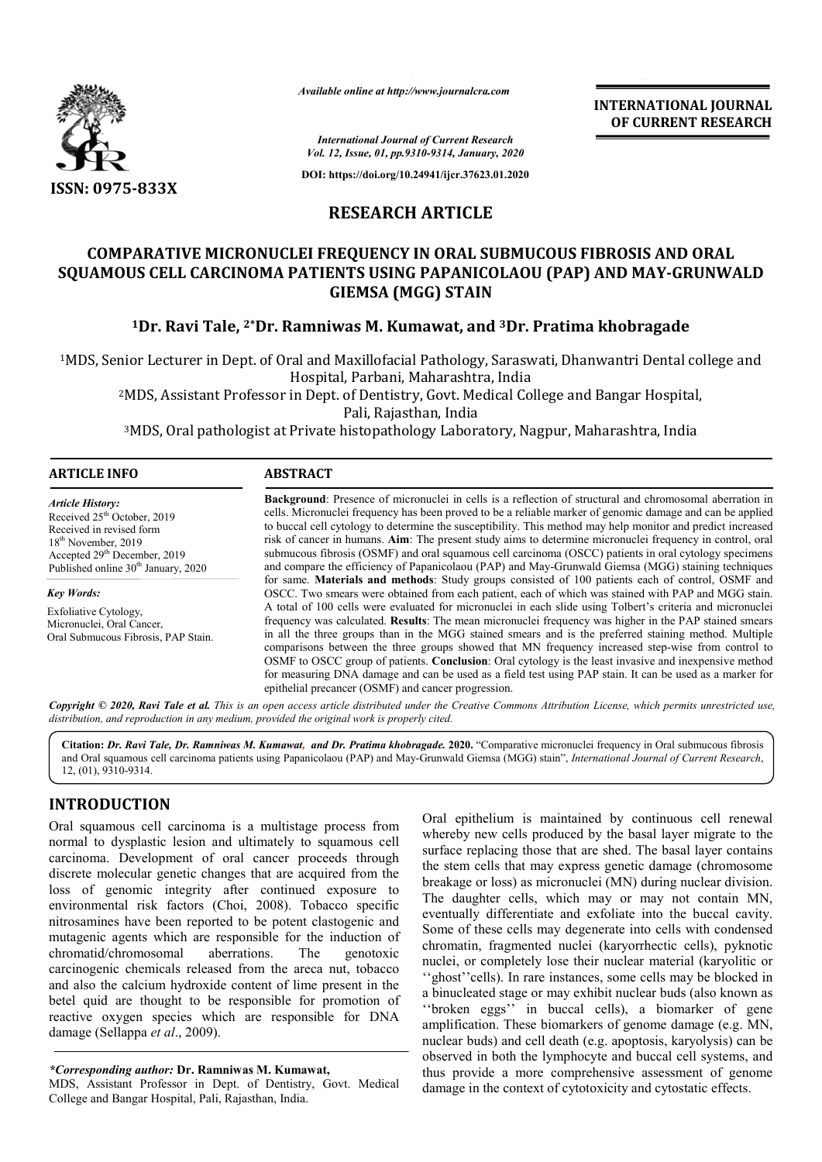

*Available online at http://www.journalcra.com*

**INTERNATIONAL JOURNAL OF CURRENT RESEARCH**

*International Journal of Current Research Vol. 12, Issue, 01, pp.9310-9314, January, 2020*

**DOI: https://doi.org/10.24941/ijcr.37623.01.2020**

# **RESEARCH ARTICLE**

# **COMPARATIVE MICRONUCLEI FREQUENCY IN ORAL SUBMUCOUS FIBROSIS AND ORAL SQUAMOUS CELL CARCINOMA PATIENTS USING PAPANICOLAOU (PAP) AND MAY-GRUNWALD GIEMSA (MGG) STAIN**

## **1Dr. Ravi Tale, 2\*Dr. Ramniwas M. Kumawat, and 3Dr. Pratima khobragade**

1MDS, Senior Lecturer in Dept. of Oral and Maxillofacial Pathology, Saraswati, Dhanwantri Dental college and Hospital, Parbani, Maharashtra, India

2MDS, Assistant Professor in Dept. of Dentistry, Govt. Medical College and Bangar Hospital, Pali, Rajasthan, India

3MDS, Oral pathologist at Private histopathology Laboratory, Nagpur, Maharashtra, India

| <b>ARTICLE INFO</b>                                                                                                                                                                                                                                                                                                               | <b>ABSTRACT</b>                                                                                                                                                                                                                                                                                                                                                                                                                                                                                                                                                                                                                                                                                                                                          |
|-----------------------------------------------------------------------------------------------------------------------------------------------------------------------------------------------------------------------------------------------------------------------------------------------------------------------------------|----------------------------------------------------------------------------------------------------------------------------------------------------------------------------------------------------------------------------------------------------------------------------------------------------------------------------------------------------------------------------------------------------------------------------------------------------------------------------------------------------------------------------------------------------------------------------------------------------------------------------------------------------------------------------------------------------------------------------------------------------------|
| <b>Article History:</b><br>Received 25 <sup>th</sup> October, 2019<br>Received in revised form<br>$18th$ November, 2019<br>Accepted 29 <sup>th</sup> December, 2019<br>Published online 30 <sup>th</sup> January, 2020<br>Key Words:<br>Exfoliative Cytology,<br>Micronuclei, Oral Cancer,<br>Oral Submucous Fibrosis, PAP Stain. | <b>Background:</b> Presence of micronuclei in cells is a reflection of structural and chromosomal aberration in<br>cells. Micronuclei frequency has been proved to be a reliable marker of genomic damage and can be applied<br>to buccal cell cytology to determine the susceptibility. This method may help monitor and predict increased<br>risk of cancer in humans. Aim: The present study aims to determine micronuclei frequency in control, oral<br>submucous fibrosis (OSMF) and oral squamous cell carcinoma (OSCC) patients in oral cytology specimens<br>and compare the efficiency of Papanicolaou (PAP) and May-Grunwald Giemsa (MGG) staining techniques                                                                                  |
|                                                                                                                                                                                                                                                                                                                                   | for same. Materials and methods: Study groups consisted of 100 patients each of control, OSMF and<br>OSCC. Two smears were obtained from each patient, each of which was stained with PAP and MGG stain.<br>A total of 100 cells were evaluated for micronuclei in each slide using Tolbert's criteria and micronuclei<br>frequency was calculated. Results: The mean micronuclei frequency was higher in the PAP stained smears<br>in all the three groups than in the MGG stained smears and is the preferred staining method. Multiple<br>comparisons between the three groups showed that MN frequency increased step-wise from control to<br>OSMF to OSCC group of patients. Conclusion: Oral cytology is the least invasive and inexpensive method |

Copyright © 2020, Ravi Tale et al. This is an open access article distributed under the Creative Commons Attribution License, which permits unrestricted use, *distribution, and reproduction in any medium, provided the original work is properly cited.*

epithelial precancer (OSMF) and cancer progression.

**Citation:** *Dr. Ravi Tale, Dr. Ramniwas M. Kumawat, and Dr. Pratima khobragade.* **2020.** "Comparative micronuclei frequency in Oral submucous fibrosis and Oral squamous cell carcinoma patients using Papanicolaou (PAP) and May-Grunwald Giemsa (MGG) stain", *International Journal of Current Research*, 12, (01), 9310-9314.

## **INTRODUCTION**

Oral squamous cell carcinoma is a multistage process from normal to dysplastic lesion and ultimately to squamous cell carcinoma. Development of oral cancer proceeds through discrete molecular genetic changes that are acquired from the loss of genomic integrity after continued exposure to environmental risk factors (Choi, 2008). Tobacco specific nitrosamines have been reported to be potent clastogenic and mutagenic agents which are responsible for the induction of chromatid/chromosomal aberrations. The genotoxic carcinogenic chemicals released from the areca nut, tobacco and also the calcium hydroxide content of lime present in the betel quid are thought to be responsible for promotion of reactive oxygen species which are responsible for DNA damage (Sellappa *et al*., 2009).

*\*Corresponding author:* **Dr. Ramniwas M. Kumawat,**

MDS, Assistant Professor in Dept. of Dentistry, Govt. Medical College and Bangar Hospital, Pali, Rajasthan, India.

Oral epithelium is maintained by continuous cell renewal whereby new cells produced by the basal layer migrate to the surface replacing those that are shed. The basal layer contains the stem cells that may express genetic damage (chromosome breakage or loss) as micronuclei (MN) during nuclear division. The daughter cells, which may or may not contain MN, eventually differentiate and exfoliate into the buccal cavity. Some of these cells may degenerate into cells with condensed chromatin, fragmented nuclei (karyorrhectic cells), pyknotic nuclei, or completely lose their nuclear material (karyolitic or 'ghost''cells). In rare instances, some cells may be blocked in a binucleated stage or may exhibit nuclear buds (also known as ''broken eggs'' in buccal cells), a biomarker of gene amplification. These biomarkers of genome damage (e.g. MN, nuclear buds) and cell death (e.g. apoptosis, karyolysis) can be observed in both the lymphocyte and buccal cell systems, and thus provide a more comprehensive assessment of genome damage in the context of cytotoxicity and cytostatic effects.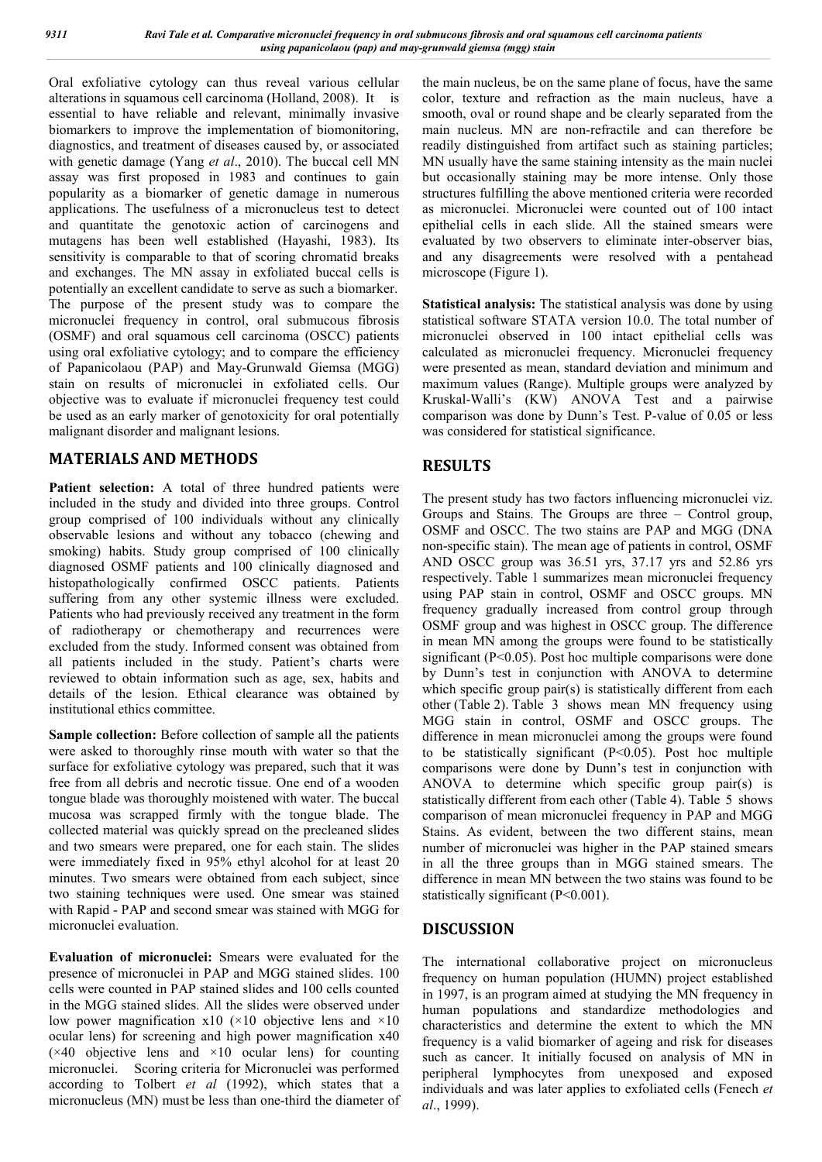Oral exfoliative cytology can thus reveal various cellular alterations in squamous cell carcinoma (Holland, 2008). It is essential to have reliable and relevant, minimally invasive biomarkers to improve the implementation of biomonitoring, diagnostics, and treatment of diseases caused by, or associated with genetic damage (Yang *et al*., 2010). The buccal cell MN assay was first proposed in 1983 and continues to gain popularity as a biomarker of genetic damage in numerous applications. The usefulness of a micronucleus test to detect and quantitate the genotoxic action of carcinogens and mutagens has been well established (Hayashi, 1983). Its sensitivity is comparable to that of scoring chromatid breaks and exchanges. The MN assay in exfoliated buccal cells is potentially an excellent candidate to serve as such a biomarker. The purpose of the present study was to compare the micronuclei frequency in control, oral submucous fibrosis (OSMF) and oral squamous cell carcinoma (OSCC) patients using oral exfoliative cytology; and to compare the efficiency of Papanicolaou (PAP) and May-Grunwald Giemsa (MGG) stain on results of micronuclei in exfoliated cells. Our objective was to evaluate if micronuclei frequency test could be used as an early marker of genotoxicity for oral potentially malignant disorder and malignant lesions.

## **MATERIALS AND METHODS**

Patient selection: A total of three hundred patients were included in the study and divided into three groups. Control group comprised of 100 individuals without any clinically observable lesions and without any tobacco (chewing and smoking) habits. Study group comprised of 100 clinically diagnosed OSMF patients and 100 clinically diagnosed and histopathologically confirmed OSCC patients. Patients suffering from any other systemic illness were excluded. Patients who had previously received any treatment in the form of radiotherapy or chemotherapy and recurrences were excluded from the study. Informed consent was obtained from all patients included in the study. Patient's charts were reviewed to obtain information such as age, sex, habits and details of the lesion. Ethical clearance was obtained by institutional ethics committee.

**Sample collection:** Before collection of sample all the patients were asked to thoroughly rinse mouth with water so that the surface for exfoliative cytology was prepared, such that it was free from all debris and necrotic tissue. One end of a wooden tongue blade was thoroughly moistened with water. The buccal mucosa was scrapped firmly with the tongue blade. The collected material was quickly spread on the precleaned slides and two smears were prepared, one for each stain. The slides were immediately fixed in 95% ethyl alcohol for at least 20 minutes. Two smears were obtained from each subject, since two staining techniques were used. One smear was stained with Rapid - PAP and second smear was stained with MGG for micronuclei evaluation.

**Evaluation of micronuclei:** Smears were evaluated for the presence of micronuclei in PAP and MGG stained slides. 100 cells were counted in PAP stained slides and 100 cells counted in the MGG stained slides. All the slides were observed under low power magnification  $x10$  ( $\times 10$  objective lens and  $\times 10$ ocular lens) for screening and high power magnification x40  $(x40)$  objective lens and  $\times 10$  ocular lens) for counting micronuclei. Scoring criteria for Micronuclei was performed according to Tolbert *et al* (1992), which states that a micronucleus (MN) must be less than one-third the diameter of the main nucleus, be on the same plane of focus, have the same color, texture and refraction as the main nucleus, have a smooth, oval or round shape and be clearly separated from the main nucleus. MN are non-refractile and can therefore be readily distinguished from artifact such as staining particles; MN usually have the same staining intensity as the main nuclei but occasionally staining may be more intense. Only those structures fulfilling the above mentioned criteria were recorded as micronuclei. Micronuclei were counted out of 100 intact epithelial cells in each slide. All the stained smears were evaluated by two observers to eliminate inter-observer bias, and any disagreements were resolved with a pentahead microscope (Figure 1).

**Statistical analysis:** The statistical analysis was done by using statistical software STATA version 10.0. The total number of micronuclei observed in 100 intact epithelial cells was calculated as micronuclei frequency. Micronuclei frequency were presented as mean, standard deviation and minimum and maximum values (Range). Multiple groups were analyzed by Kruskal-Walli's (KW) ANOVA Test and a pairwise comparison was done by Dunn's Test. P-value of 0.05 or less was considered for statistical significance.

## **RESULTS**

The present study has two factors influencing micronuclei viz. Groups and Stains. The Groups are three – Control group, OSMF and OSCC. The two stains are PAP and MGG (DNA non-specific stain). The mean age of patients in control, OSMF AND OSCC group was 36.51 yrs, 37.17 yrs and 52.86 yrs respectively. Table 1 summarizes mean micronuclei frequency using PAP stain in control, OSMF and OSCC groups. MN frequency gradually increased from control group through OSMF group and was highest in OSCC group. The difference in mean MN among the groups were found to be statistically significant  $(P<0.05)$ . Post hoc multiple comparisons were done by Dunn's test in conjunction with ANOVA to determine which specific group pair(s) is statistically different from each other (Table 2). Table 3 shows mean MN frequency using MGG stain in control, OSMF and OSCC groups. The difference in mean micronuclei among the groups were found to be statistically significant (P<0.05). Post hoc multiple comparisons were done by Dunn's test in conjunction with ANOVA to determine which specific group pair(s) is statistically different from each other (Table 4). Table 5 shows comparison of mean micronuclei frequency in PAP and MGG Stains. As evident, between the two different stains, mean number of micronuclei was higher in the PAP stained smears in all the three groups than in MGG stained smears. The difference in mean MN between the two stains was found to be statistically significant (P<0.001).

## **DISCUSSION**

The international collaborative project on micronucleus frequency on human population (HUMN) project established in 1997, is an program aimed at studying the MN frequency in human populations and standardize methodologies and characteristics and determine the extent to which the MN frequency is a valid biomarker of ageing and risk for diseases such as cancer. It initially focused on analysis of MN in peripheral lymphocytes from unexposed and exposed individuals and was later applies to exfoliated cells (Fenech *et al*., 1999).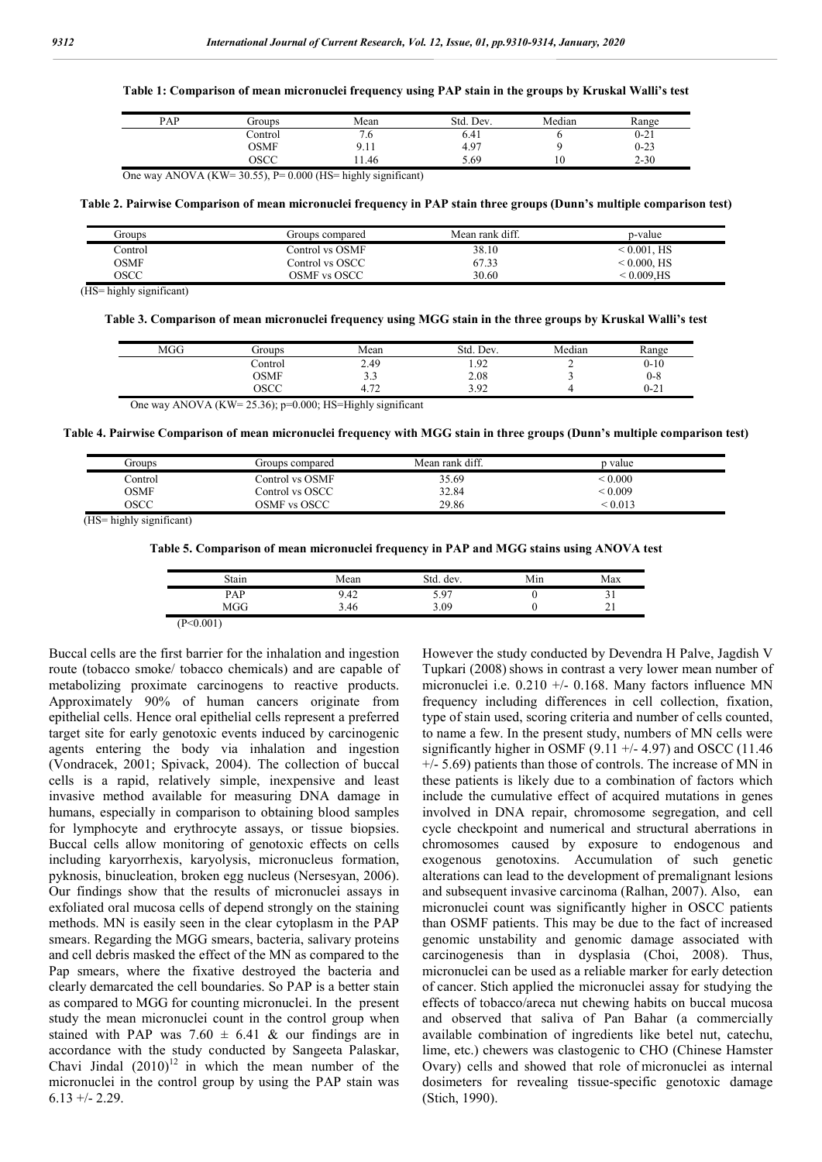#### **Table 1: Comparison of mean micronuclei frequency using PAP stain in the groups by Kruskal Walli's test**

| PAP | Groups  | Mean | Dev.<br>Std. | Median | Range    |
|-----|---------|------|--------------|--------|----------|
|     | `ontrol | ۰. ا | 0.41         |        | $0 - 21$ |
|     | OSMF    | 9.11 | 4.97         |        | $0 - 23$ |
|     | OSCC    | 1.46 | 5.69         | 10     | $2 - 30$ |

One way ANOVA (KW= 30.55), P= 0.000 (HS= highly significant)

**Table 2. Pairwise Comparison of mean micronuclei frequency in PAP stain three groups (Dunn's multiple comparison test)**

| Groups  | Groups compared  | Mean rank diff. | p-value             |
|---------|------------------|-----------------|---------------------|
| Control | Control vs OSMF  | 38.10           | $< 0.001$ . HS      |
| OSMF    | Control vs OSCC- | 67.33           | $<$ 0.000. HS       |
| OSCC    | OSMF vs OSCC .   | 30.60           | $\approx 0.009$ .HS |

(HS= highly significant)

**Table 3. Comparison of mean micronuclei frequency using MGG stain in the three groups by Kruskal Walli's test**

| MGG                                                             | Groups      | Mean | Std. Dev. | Median | Range    |
|-----------------------------------------------------------------|-------------|------|-----------|--------|----------|
|                                                                 | Control     | 2.49 | 1.92      |        | $0 - 10$ |
|                                                                 | <b>OSMF</b> |      | 2.08      |        | $0 - 8$  |
|                                                                 | OSCC        |      | 3.92      |        | $0 - 21$ |
| One way ANOVA (KW= $25.36$ ); $p=0.000$ ; HS=Highly significant |             |      |           |        |          |

**Table 4. Pairwise Comparison of mean micronuclei frequency with MGG stain in three groups (Dunn's multiple comparison test)**

| Groups  | Groups compared  | Mean rank diff. | p value           |
|---------|------------------|-----------------|-------------------|
| Control | Control vs OSMF  | 35.69           | < 0.000           |
| OSMF    | Control vs OSCC. | 32.84           | ${}_{\leq 0.009}$ |
| OSCC    | OSME vs OSCC     | 29.86           | ${}_{\leq 0.013}$ |

(HS= highly significant)

**Table 5. Comparison of mean micronuclei frequency in PAP and MGG stains using ANOVA test**

| Stain           | Mean | Std. dev. | Min | Max |
|-----------------|------|-----------|-----|-----|
| PAP             | 9.42 | 5.97      |     | JІ  |
| MGG             | 3.46 | 3.09      |     |     |
| (P<0.001)<br>11 |      |           |     |     |

Buccal cells are the first barrier for the inhalation and ingestion route (tobacco smoke/ tobacco chemicals) and are capable of metabolizing proximate carcinogens to reactive products. Approximately 90% of human cancers originate from epithelial cells. Hence oral epithelial cells represent a preferred target site for early genotoxic events induced by carcinogenic agents entering the body via inhalation and ingestion (Vondracek, 2001; Spivack, 2004). The collection of buccal cells is a rapid, relatively simple, inexpensive and least invasive method available for measuring DNA damage in humans, especially in comparison to obtaining blood samples for lymphocyte and erythrocyte assays, or tissue biopsies. Buccal cells allow monitoring of genotoxic effects on cells including karyorrhexis, karyolysis, micronucleus formation, pyknosis, binucleation, broken egg nucleus (Nersesyan, 2006). Our findings show that the results of micronuclei assays in exfoliated oral mucosa cells of depend strongly on the staining methods. MN is easily seen in the clear cytoplasm in the PAP smears. Regarding the MGG smears, bacteria, salivary proteins and cell debris masked the effect of the MN as compared to the Pap smears, where the fixative destroyed the bacteria and clearly demarcated the cell boundaries. So PAP is a better stain as compared to MGG for counting micronuclei. In the present study the mean micronuclei count in the control group when stained with PAP was  $7.60 \pm 6.41$  & our findings are in accordance with the study conducted by Sangeeta Palaskar, Chavi Jindal  $(2010)^{12}$  in which the mean number of the micronuclei in the control group by using the PAP stain was 6.13 +/- 2.29.

However the study conducted by Devendra H Palve, Jagdish V Tupkari (2008) shows in contrast a very lower mean number of micronuclei i.e. 0.210 +/- 0.168. Many factors influence MN frequency including differences in cell collection, fixation, type of stain used, scoring criteria and number of cells counted, to name a few. In the present study, numbers of MN cells were significantly higher in OSMF (9.11 +/- 4.97) and OSCC (11.46  $+/-$  5.69) patients than those of controls. The increase of MN in these patients is likely due to a combination of factors which include the cumulative effect of acquired mutations in genes involved in DNA repair, chromosome segregation, and cell cycle checkpoint and numerical and structural aberrations in chromosomes caused by exposure to endogenous and exogenous genotoxins. Accumulation of such genetic alterations can lead to the development of premalignant lesions and subsequent invasive carcinoma (Ralhan, 2007). Also, ean micronuclei count was significantly higher in OSCC patients than OSMF patients. This may be due to the fact of increased genomic unstability and genomic damage associated with carcinogenesis than in dysplasia (Choi, 2008). Thus, micronuclei can be used as a reliable marker for early detection of cancer. Stich applied the micronuclei assay for studying the effects of tobacco/areca nut chewing habits on buccal mucosa and observed that saliva of Pan Bahar (a commercially available combination of ingredients like betel nut, catechu, lime, etc.) chewers was clastogenic to CHO (Chinese Hamster Ovary) cells and showed that role of micronuclei as internal dosimeters for revealing tissue-specific genotoxic damage (Stich, 1990).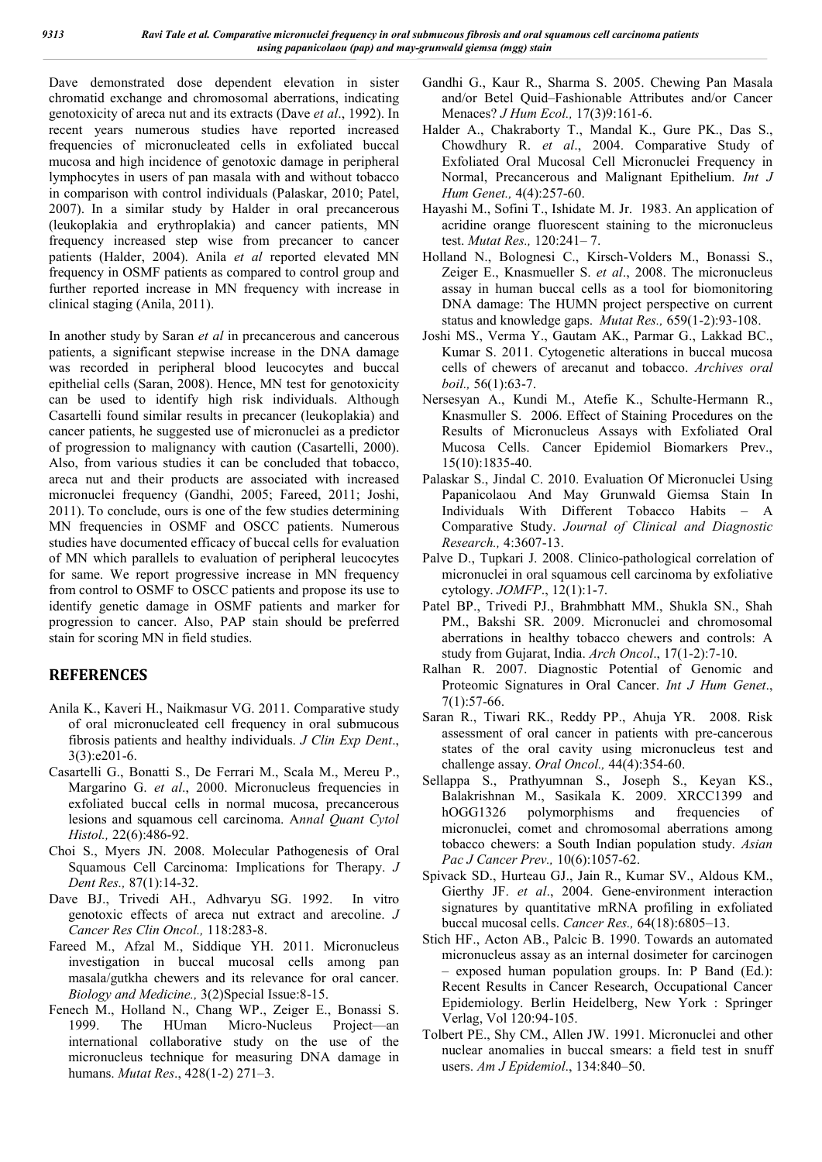Dave demonstrated dose dependent elevation in sister chromatid exchange and chromosomal aberrations, indicating genotoxicity of areca nut and its extracts (Dave *et al*., 1992). In recent years numerous studies have reported increased frequencies of micronucleated cells in exfoliated buccal mucosa and high incidence of genotoxic damage in peripheral lymphocytes in users of pan masala with and without tobacco in comparison with control individuals (Palaskar, 2010; Patel, 2007). In a similar study by Halder in oral precancerous (leukoplakia and erythroplakia) and cancer patients, MN frequency increased step wise from precancer to cancer patients (Halder, 2004). Anila *et al* reported elevated MN frequency in OSMF patients as compared to control group and further reported increase in MN frequency with increase in clinical staging (Anila, 2011).

In another study by Saran *et al* in precancerous and cancerous patients, a significant stepwise increase in the DNA damage was recorded in peripheral blood leucocytes and buccal epithelial cells (Saran, 2008). Hence, MN test for genotoxicity can be used to identify high risk individuals. Although Casartelli found similar results in precancer (leukoplakia) and cancer patients, he suggested use of micronuclei as a predictor of progression to malignancy with caution (Casartelli, 2000). Also, from various studies it can be concluded that tobacco, areca nut and their products are associated with increased micronuclei frequency (Gandhi, 2005; Fareed, 2011; Joshi, 2011). To conclude, ours is one of the few studies determining MN frequencies in OSMF and OSCC patients. Numerous studies have documented efficacy of buccal cells for evaluation of MN which parallels to evaluation of peripheral leucocytes for same. We report progressive increase in MN frequency from control to OSMF to OSCC patients and propose its use to identify genetic damage in OSMF patients and marker for progression to cancer. Also, PAP stain should be preferred stain for scoring MN in field studies.

## **REFERENCES**

- Anila K., Kaveri H., Naikmasur VG. 2011. Comparative study of oral micronucleated cell frequency in oral submucous fibrosis patients and healthy individuals. *J Clin Exp Dent*., 3(3):e201-6.
- Casartelli G., Bonatti S., De Ferrari M., Scala M., Mereu P., Margarino G. *et al*., 2000. Micronucleus frequencies in exfoliated buccal cells in normal mucosa, precancerous lesions and squamous cell carcinoma. A*nnal Quant Cytol Histol.,* 22(6):486-92.
- Choi S., Myers JN. 2008. Molecular Pathogenesis of Oral Squamous Cell Carcinoma: Implications for Therapy. *J Dent Res.,* 87(1):14-32.
- Dave BJ., Trivedi AH., Adhvaryu SG. 1992. In vitro genotoxic effects of areca nut extract and arecoline. *J Cancer Res Clin Oncol.,* 118:283-8.
- Fareed M., Afzal M., Siddique YH. 2011. Micronucleus investigation in buccal mucosal cells among pan masala/gutkha chewers and its relevance for oral cancer. *Biology and Medicine.,* 3(2)Special Issue:8-15.
- Fenech M., Holland N., Chang WP., Zeiger E., Bonassi S. 1999. The HUman Micro-Nucleus Project—an international collaborative study on the use of the micronucleus technique for measuring DNA damage in humans. *Mutat Res*., 428(1-2) 271–3.
- Gandhi G., Kaur R., Sharma S. 2005. Chewing Pan Masala and/or Betel Quid–Fashionable Attributes and/or Cancer Menaces? *J Hum Ecol.,* 17(3)9:161-6.
- Halder A., Chakraborty T., Mandal K., Gure PK., Das S., Chowdhury R. *et al*., 2004. Comparative Study of Exfoliated Oral Mucosal Cell Micronuclei Frequency in Normal, Precancerous and Malignant Epithelium. *Int J Hum Genet.,* 4(4):257-60.
- Hayashi M., Sofini T., Ishidate M. Jr. 1983. An application of acridine orange fluorescent staining to the micronucleus test. *Mutat Res.,* 120:241– 7.
- Holland N., Bolognesi C., Kirsch-Volders M., Bonassi S., Zeiger E., Knasmueller S. *et al*., 2008. The micronucleus assay in human buccal cells as a tool for biomonitoring DNA damage: The HUMN project perspective on current status and knowledge gaps. *Mutat Res.,* 659(1-2):93-108.
- Joshi MS., Verma Y., Gautam AK., Parmar G., Lakkad BC., Kumar S. 2011. Cytogenetic alterations in buccal mucosa cells of chewers of arecanut and tobacco. *Archives oral boil.,* 56(1):63-7.
- Nersesyan A., Kundi M., Atefie K., Schulte-Hermann R., Knasmuller S. 2006. Effect of Staining Procedures on the Results of Micronucleus Assays with Exfoliated Oral Mucosa Cells. Cancer Epidemiol Biomarkers Prev., 15(10):1835-40.
- Palaskar S., Jindal C. 2010. Evaluation Of Micronuclei Using Papanicolaou And May Grunwald Giemsa Stain In Individuals With Different Tobacco Habits – A Comparative Study. *Journal of Clinical and Diagnostic Research.,* 4:3607-13.
- Palve D., Tupkari J. 2008. Clinico-pathological correlation of micronuclei in oral squamous cell carcinoma by exfoliative cytology. *JOMFP*., 12(1):1-7.
- Patel BP., Trivedi PJ., Brahmbhatt MM., Shukla SN., Shah PM., Bakshi SR. 2009. Micronuclei and chromosomal aberrations in healthy tobacco chewers and controls: A study from Gujarat, India. *Arch Oncol*., 17(1-2):7-10.
- Ralhan R. 2007. Diagnostic Potential of Genomic and Proteomic Signatures in Oral Cancer. *Int J Hum Genet*., 7(1):57-66.
- Saran R., Tiwari RK., Reddy PP., Ahuja YR. 2008. Risk assessment of oral cancer in patients with pre-cancerous states of the oral cavity using micronucleus test and challenge assay. *Oral Oncol.,* 44(4):354-60.
- Sellappa S., Prathyumnan S., Joseph S., Keyan KS., Balakrishnan M., Sasikala K. 2009. XRCC1399 and hOGG1326 polymorphisms and frequencies of micronuclei, comet and chromosomal aberrations among tobacco chewers: a South Indian population study. *Asian Pac J Cancer Prev.,* 10(6):1057-62.
- Spivack SD., Hurteau GJ., Jain R., Kumar SV., Aldous KM., Gierthy JF. *et al*., 2004. Gene-environment interaction signatures by quantitative mRNA profiling in exfoliated buccal mucosal cells. *Cancer Res.,* 64(18):6805–13.
- Stich HF., Acton AB., Palcic B. 1990. Towards an automated micronucleus assay as an internal dosimeter for carcinogen – exposed human population groups. In: P Band (Ed.): Recent Results in Cancer Research, Occupational Cancer Epidemiology. Berlin Heidelberg, New York : Springer Verlag, Vol 120:94-105.
- Tolbert PE., Shy CM., Allen JW. 1991. Micronuclei and other nuclear anomalies in buccal smears: a field test in snuff users. *Am J Epidemiol*., 134:840–50.